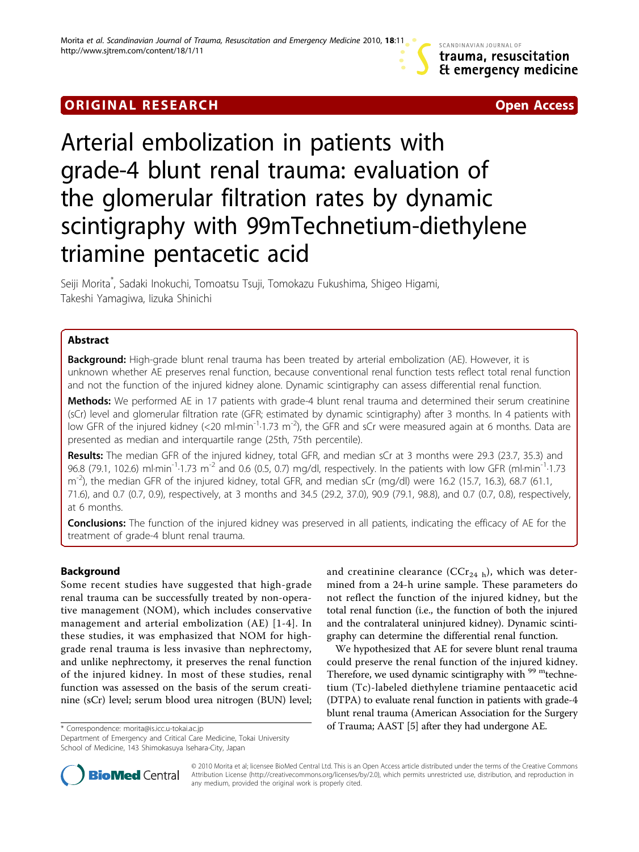SCANDINAVIAN JOURNAL OF trauma, resuscitation Et emergency medicine

## **ORIGINAL RESEARCH CONFIDENTIAL CONSUMING A LIGAN CONFIDENTIAL CONSUMING A LIGAN CONSUMING A LIGAN CONSUMING A**



# Arterial embolization in patients with grade-4 blunt renal trauma: evaluation of the glomerular filtration rates by dynamic scintigraphy with 99mTechnetium-diethylene triamine pentacetic acid

Seiji Morita\* , Sadaki Inokuchi, Tomoatsu Tsuji, Tomokazu Fukushima, Shigeo Higami, Takeshi Yamagiwa, Iizuka Shinichi

### Abstract

**Background:** High-grade blunt renal trauma has been treated by arterial embolization (AE). However, it is unknown whether AE preserves renal function, because conventional renal function tests reflect total renal function and not the function of the injured kidney alone. Dynamic scintigraphy can assess differential renal function.

Methods: We performed AE in 17 patients with grade-4 blunt renal trauma and determined their serum creatinine (sCr) level and glomerular filtration rate (GFR; estimated by dynamic scintigraphy) after 3 months. In 4 patients with low GFR of the injured kidney (<20 ml·min<sup>-1</sup>·1.73 m<sup>-2</sup>), the GFR and sCr were measured again at 6 months. Data are presented as median and interquartile range (25th, 75th percentile).

Results: The median GFR of the injured kidney, total GFR, and median sCr at 3 months were 29.3 (23.7, 35.3) and 96.8 (79.1, 102.6) ml·min<sup>-1</sup>·1.73 m<sup>-2</sup> and 0.6 (0.5, 0.7) mg/dl, respectively. In the patients with low GFR (ml·min<sup>-1</sup>·1.73  $m<sup>-2</sup>$ ), the median GFR of the injured kidney, total GFR, and median sCr (mg/dl) were 16.2 (15.7, 16.3), 68.7 (61.1, 71.6), and 0.7 (0.7, 0.9), respectively, at 3 months and 34.5 (29.2, 37.0), 90.9 (79.1, 98.8), and 0.7 (0.7, 0.8), respectively, at 6 months.

**Conclusions:** The function of the injured kidney was preserved in all patients, indicating the efficacy of AE for the treatment of grade-4 blunt renal trauma.

### Background

Some recent studies have suggested that high-grade renal trauma can be successfully treated by non-operative management (NOM), which includes conservative management and arterial embolization (AE) [[1-](#page-3-0)[4](#page-4-0)]. In these studies, it was emphasized that NOM for highgrade renal trauma is less invasive than nephrectomy, and unlike nephrectomy, it preserves the renal function of the injured kidney. In most of these studies, renal function was assessed on the basis of the serum creatinine (sCr) level; serum blood urea nitrogen (BUN) level;

Department of Emergency and Critical Care Medicine, Tokai University School of Medicine, 143 Shimokasuya Isehara-City, Japan

and creatinine clearance (CCr<sub>24 h</sub>), which was determined from a 24-h urine sample. These parameters do not reflect the function of the injured kidney, but the total renal function (i.e., the function of both the injured and the contralateral uninjured kidney). Dynamic scintigraphy can determine the differential renal function.

We hypothesized that AE for severe blunt renal trauma could preserve the renal function of the injured kidney. Therefore, we used dynamic scintigraphy with <sup>99 m</sup>technetium (Tc)-labeled diethylene triamine pentaacetic acid (DTPA) to evaluate renal function in patients with grade-4 blunt renal trauma (American Association for the Surgery \* Correspondence: [morita@is.icc.u-tokai.ac.jp](mailto:morita@is.icc.u-tokai.ac.jp) **by the end of Trauma; AAST** [\[5](#page-4-0)] after they had undergone AE.



© 2010 Morita et al; licensee BioMed Central Ltd. This is an Open Access article distributed under the terms of the Creative Commons Attribution License [\(http://creativecommons.org/licenses/by/2.0](http://creativecommons.org/licenses/by/2.0)), which permits unrestricted use, distribution, and reproduction in any medium, provided the original work is properly cited.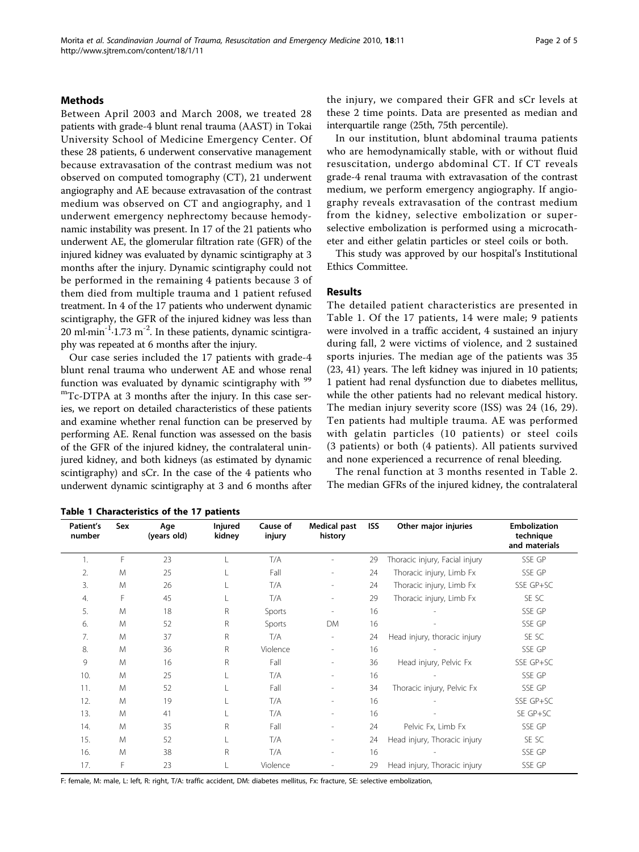#### <span id="page-1-0"></span>Methods

Between April 2003 and March 2008, we treated 28 patients with grade-4 blunt renal trauma (AAST) in Tokai University School of Medicine Emergency Center. Of these 28 patients, 6 underwent conservative management because extravasation of the contrast medium was not observed on computed tomography (CT), 21 underwent angiography and AE because extravasation of the contrast medium was observed on CT and angiography, and 1 underwent emergency nephrectomy because hemodynamic instability was present. In 17 of the 21 patients who underwent AE, the glomerular filtration rate (GFR) of the injured kidney was evaluated by dynamic scintigraphy at 3 months after the injury. Dynamic scintigraphy could not be performed in the remaining 4 patients because 3 of them died from multiple trauma and 1 patient refused treatment. In 4 of the 17 patients who underwent dynamic scintigraphy, the GFR of the injured kidney was less than 20 ml $\cdot$ min<sup>-1</sup> $\cdot$ 1.73 m<sup>-2</sup>. In these patients, dynamic scintigraphy was repeated at 6 months after the injury.

Our case series included the 17 patients with grade-4 blunt renal trauma who underwent AE and whose renal function was evaluated by dynamic scintigraphy with  $99$ mTc-DTPA at 3 months after the injury. In this case series, we report on detailed characteristics of these patients and examine whether renal function can be preserved by performing AE. Renal function was assessed on the basis of the GFR of the injured kidney, the contralateral uninjured kidney, and both kidneys (as estimated by dynamic scintigraphy) and sCr. In the case of the 4 patients who underwent dynamic scintigraphy at 3 and 6 months after the injury, we compared their GFR and sCr levels at these 2 time points. Data are presented as median and interquartile range (25th, 75th percentile).

In our institution, blunt abdominal trauma patients who are hemodynamically stable, with or without fluid resuscitation, undergo abdominal CT. If CT reveals grade-4 renal trauma with extravasation of the contrast medium, we perform emergency angiography. If angiography reveals extravasation of the contrast medium from the kidney, selective embolization or superselective embolization is performed using a microcatheter and either gelatin particles or steel coils or both.

This study was approved by our hospital's Institutional Ethics Committee.

#### Results

The detailed patient characteristics are presented in Table 1. Of the 17 patients, 14 were male; 9 patients were involved in a traffic accident, 4 sustained an injury during fall, 2 were victims of violence, and 2 sustained sports injuries. The median age of the patients was 35 (23, 41) years. The left kidney was injured in 10 patients; 1 patient had renal dysfunction due to diabetes mellitus, while the other patients had no relevant medical history. The median injury severity score (ISS) was 24 (16, 29). Ten patients had multiple trauma. AE was performed with gelatin particles (10 patients) or steel coils (3 patients) or both (4 patients). All patients survived and none experienced a recurrence of renal bleeding.

The renal function at 3 months resented in Table [2](#page-2-0). The median GFRs of the injured kidney, the contralateral

| Patient's<br>number | Sex | Age<br>(years old) | <b>Injured</b><br>kidney | Cause of<br>injury | <b>Medical past</b><br>history | <b>ISS</b> | Other major injuries           | <b>Embolization</b><br>technique<br>and materials |
|---------------------|-----|--------------------|--------------------------|--------------------|--------------------------------|------------|--------------------------------|---------------------------------------------------|
| 1.                  | F   | 23                 |                          | T/A                |                                | 29         | Thoracic injury, Facial injury | SSE GP                                            |
| 2.                  | M   | 25                 |                          | Fall               | $\overline{a}$                 | 24         | Thoracic injury, Limb Fx       | SSE GP                                            |
| 3.                  | M   | 26                 |                          | T/A                | $\overline{\phantom{0}}$       | 24         | Thoracic injury, Limb Fx       | SSE GP+SC                                         |
| 4.                  | F   | 45                 |                          | T/A                | $\overline{\phantom{a}}$       | 29         | Thoracic injury, Limb Fx       | SE SC                                             |
| 5.                  | M   | 18                 | R                        | Sports             |                                | 16         |                                | SSE GP                                            |
| 6.                  | M   | 52                 | R                        | Sports             | DM                             | 16         |                                | SSE GP                                            |
| 7.                  | M   | 37                 | R.                       | T/A                | $\overline{\phantom{a}}$       | 24         | Head injury, thoracic injury   | SE SC                                             |
| 8.                  | M   | 36                 | R.                       | Violence           | $\overline{a}$                 | 16         |                                | SSE GP                                            |
| 9                   | M   | 16                 | R                        | Fall               | $\overline{a}$                 | 36         | Head injury, Pelvic Fx         | SSE GP+SC                                         |
| 10.                 | M   | 25                 |                          | T/A                | $\overline{a}$                 | 16         |                                | SSE GP                                            |
| 11.                 | M   | 52                 |                          | Fall               | $\overline{\phantom{0}}$       | 34         | Thoracic injury, Pelvic Fx     | SSE GP                                            |
| 12.                 | M   | 19                 |                          | T/A                |                                | 16         |                                | SSE GP+SC                                         |
| 13.                 | M   | 41                 |                          | T/A                |                                | 16         |                                | SE GP+SC                                          |
| 14.                 | M   | 35                 | R.                       | Fall               | $\overline{\phantom{0}}$       | 24         | Pelvic Fx, Limb Fx             | SSE GP                                            |
| 15.                 | M   | 52                 |                          | T/A                |                                | 24         | Head injury, Thoracic injury   | SE SC                                             |
| 16.                 | M   | 38                 | R                        | T/A                |                                | 16         |                                | SSE GP                                            |
| 17.                 | F   | 23                 |                          | Violence           |                                | 29         | Head injury, Thoracic injury   | SSE GP                                            |

Table 1 Characteristics of the 17 patients

F: female, M: male, L: left, R: right, T/A: traffic accident, DM: diabetes mellitus, Fx: fracture, SE: selective embolization,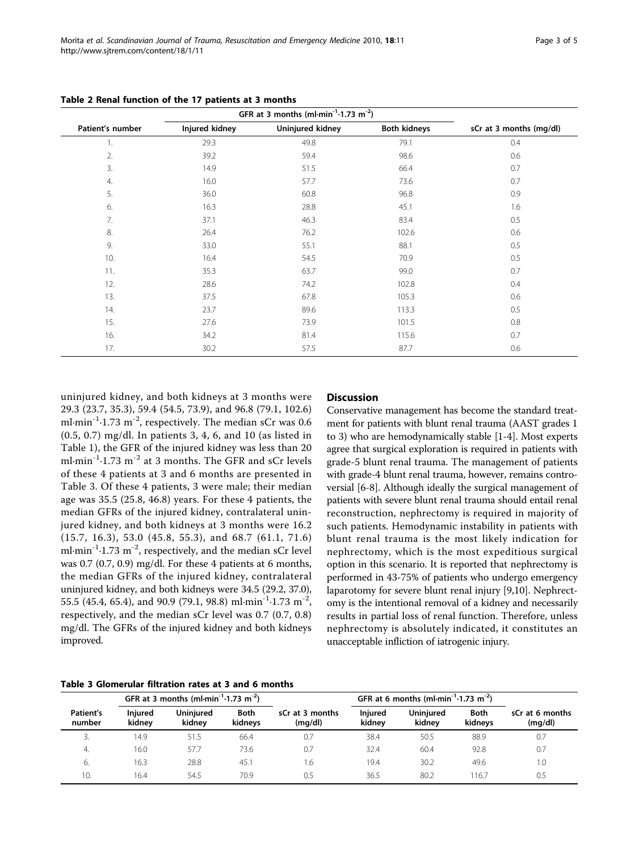|                  | GFR at 3 months (ml-min <sup>-1</sup> -1.73 m <sup>-2</sup> ) |                  |                     |                         |
|------------------|---------------------------------------------------------------|------------------|---------------------|-------------------------|
| Patient's number | Injured kidney                                                | Uninjured kidney | <b>Both kidneys</b> | sCr at 3 months (mg/dl) |
| 1.               | 29.3                                                          | 49.8             | 79.1                | 0.4                     |
| 2.               | 39.2                                                          | 59.4             | 98.6                | 0.6                     |
| 3.               | 14.9                                                          | 51.5             | 66.4                | 0.7                     |
| 4.               | 16.0                                                          | 57.7             | 73.6                | 0.7                     |
| 5.               | 36.0                                                          | 60.8             | 96.8                | 0.9                     |
| 6.               | 16.3                                                          | 28.8             | 45.1                | 1.6                     |
| 7.               | 37.1                                                          | 46.3             | 83.4                | 0.5                     |
| 8.               | 26.4                                                          | 76.2             | 102.6               | 0.6                     |
| 9.               | 33.0                                                          | 55.1             | 88.1                | 0.5                     |
| 10.              | 16.4                                                          | 54.5             | 70.9                | 0.5                     |
| 11.              | 35.3                                                          | 63.7             | 99.0                | 0.7                     |
| 12.              | 28.6                                                          | 74.2             | 102.8               | 0.4                     |
| 13.              | 37.5                                                          | 67.8             | 105.3               | 0.6                     |
| 14.              | 23.7                                                          | 89.6             | 113.3               | 0.5                     |
| 15.              | 27.6                                                          | 73.9             | 101.5               | 0.8                     |
| 16.              | 34.2                                                          | 81.4             | 115.6               | 0.7                     |
| 17.              | 30.2                                                          | 57.5             | 87.7                | 0.6                     |

<span id="page-2-0"></span>Table 2 Renal function of the 17 patients at 3 months

uninjured kidney, and both kidneys at 3 months were 29.3 (23.7, 35.3), 59.4 (54.5, 73.9), and 96.8 (79.1, 102.6) ml $\cdot$ min<sup>-1</sup> $\cdot$ 1.73 m<sup>-2</sup>, respectively. The median sCr was 0.6 (0.5, 0.7) mg/dl. In patients 3, 4, 6, and 10 (as listed in Table [1\)](#page-1-0), the GFR of the injured kidney was less than 20 ml·min<sup>-1</sup>·1.73 m<sup>-2</sup> at 3 months. The GFR and sCr levels of these 4 patients at 3 and 6 months are presented in Table 3. Of these 4 patients, 3 were male; their median age was 35.5 (25.8, 46.8) years. For these 4 patients, the median GFRs of the injured kidney, contralateral uninjured kidney, and both kidneys at 3 months were 16.2 (15.7, 16.3), 53.0 (45.8, 55.3), and 68.7 (61.1, 71.6) ml $\cdot$ min<sup>-1</sup> $\cdot$ 1.73 m<sup>-2</sup>, respectively, and the median sCr level was 0.7 (0.7, 0.9) mg/dl. For these 4 patients at 6 months, the median GFRs of the injured kidney, contralateral uninjured kidney, and both kidneys were 34.5 (29.2, 37.0), 55.5 (45.4, 65.4), and 90.9 (79.1, 98.8) ml $\cdot$ min<sup>-1</sup> $\cdot$ 1.73 m<sup>-2</sup>, respectively, and the median sCr level was 0.7 (0.7, 0.8) mg/dl. The GFRs of the injured kidney and both kidneys improved.

#### Table 3 Glomerular filtration rates at 3 and 6 months GFR at 3 months (ml-min<sup>-1</sup>-1.73 m<sup>-2</sup>) GFR at 6 months (ml-min<sup>-1</sup>-1.73 m<sup>-2</sup>) Patient's number Injured kidney **Uniniured** kidney Both kidneys sCr at 3 months (mg/dl) Injured kidney **Uniniured** kidney Both kidneys sCr at 6 months (mg/dl) 3. 14.9 51.5 66.4 0.7 38.4 50.5 88.9 0.7 4. 16.0 57.7 73.6 0.7 32.4 60.4 92.8 0.7 6. 16.3 28.8 45.1 1.6 19.4 30.2 49.6 1.0

10. 16.4 54.5 70.9 0.5 36.5 80.2 116.7 0.5

#### **Discussion**

Conservative management has become the standard treatment for patients with blunt renal trauma (AAST grades 1 to 3) who are hemodynamically stable [\[1](#page-3-0)-[4\]](#page-4-0). Most experts agree that surgical exploration is required in patients with grade-5 blunt renal trauma. The management of patients with grade-4 blunt renal trauma, however, remains controversial [\[6-8](#page-4-0)]. Although ideally the surgical management of patients with severe blunt renal trauma should entail renal reconstruction, nephrectomy is required in majority of such patients. Hemodynamic instability in patients with blunt renal trauma is the most likely indication for nephrectomy, which is the most expeditious surgical option in this scenario. It is reported that nephrectomy is performed in 43-75% of patients who undergo emergency laparotomy for severe blunt renal injury [\[9,10](#page-4-0)]. Nephrectomy is the intentional removal of a kidney and necessarily results in partial loss of renal function. Therefore, unless nephrectomy is absolutely indicated, it constitutes an unacceptable infliction of iatrogenic injury.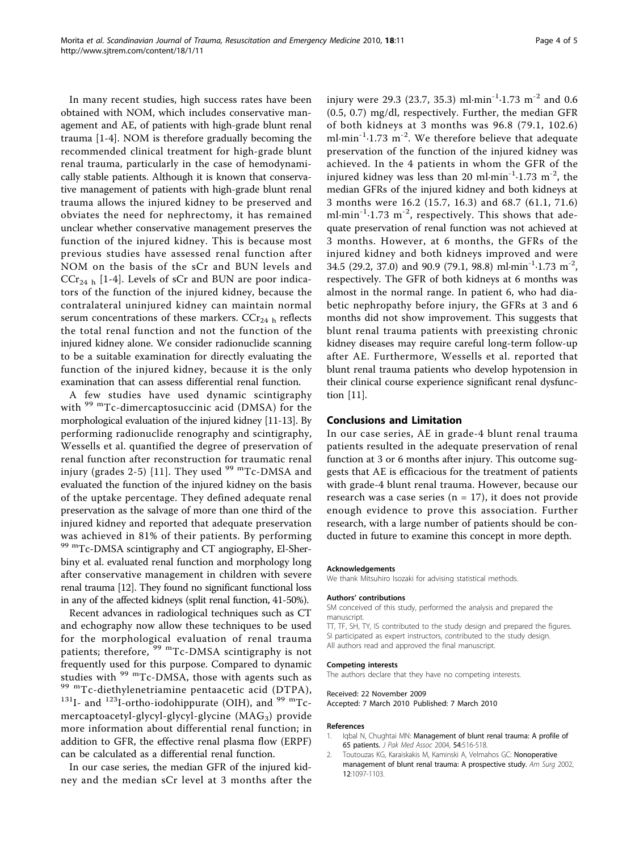<span id="page-3-0"></span>In many recent studies, high success rates have been obtained with NOM, which includes conservative management and AE, of patients with high-grade blunt renal trauma [1[-4](#page-4-0)]. NOM is therefore gradually becoming the recommended clinical treatment for high-grade blunt renal trauma, particularly in the case of hemodynamically stable patients. Although it is known that conservative management of patients with high-grade blunt renal trauma allows the injured kidney to be preserved and obviates the need for nephrectomy, it has remained unclear whether conservative management preserves the function of the injured kidney. This is because most previous studies have assessed renal function after NOM on the basis of the sCr and BUN levels and  $CCr_{24 h}$  $CCr_{24 h}$  $CCr_{24 h}$  [1-4]. Levels of sCr and BUN are poor indicators of the function of the injured kidney, because the contralateral uninjured kidney can maintain normal serum concentrations of these markers.  $CCr_{24}$  h reflects the total renal function and not the function of the injured kidney alone. We consider radionuclide scanning to be a suitable examination for directly evaluating the function of the injured kidney, because it is the only examination that can assess differential renal function.

A few studies have used dynamic scintigraphy with <sup>99 m</sup>Tc-dimercaptosuccinic acid (DMSA) for the morphological evaluation of the injured kidney [[11](#page-4-0)-[13\]](#page-4-0). By performing radionuclide renography and scintigraphy, Wessells et al. quantified the degree of preservation of renal function after reconstruction for traumatic renal injury (grades 2-5) [\[11\]](#page-4-0). They used  $99$  <sup>m</sup>Tc-DMSA and evaluated the function of the injured kidney on the basis of the uptake percentage. They defined adequate renal preservation as the salvage of more than one third of the injured kidney and reported that adequate preservation was achieved in 81% of their patients. By performing 99 mTc-DMSA scintigraphy and CT angiography, El-Sherbiny et al. evaluated renal function and morphology long after conservative management in children with severe renal trauma [[12](#page-4-0)]. They found no significant functional loss in any of the affected kidneys (split renal function, 41-50%).

Recent advances in radiological techniques such as CT and echography now allow these techniques to be used for the morphological evaluation of renal trauma patients; therefore,  $^{99}$  <sup>m</sup>Tc-DMSA scintigraphy is not frequently used for this purpose. Compared to dynamic<br>studies with <sup>99 m</sup>Tc-DMSA, those with agents such as <sup>99 m</sup>Tc-diethylenetriamine pentaacetic acid (DTPA),  $131I$ - and  $123I$ -ortho-iodohippurate (OIH), and <sup>99 m</sup>Tcmercaptoacetyl-glycyl-glycyl-glycine (MAG<sub>3</sub>) provide more information about differential renal function; in addition to GFR, the effective renal plasma flow (ERPF) can be calculated as a differential renal function.

In our case series, the median GFR of the injured kidney and the median sCr level at 3 months after the injury were 29.3 (23.7, 35.3) ml $\cdot$ min<sup>-1</sup> $\cdot$ 1.73 m<sup>-2</sup> and 0.6 (0.5, 0.7) mg/dl, respectively. Further, the median GFR of both kidneys at 3 months was 96.8 (79.1, 102.6) ml $\cdot$ min<sup>-1</sup> $\cdot$ 1.73 m<sup>-2</sup>. We therefore believe that adequate preservation of the function of the injured kidney was achieved. In the 4 patients in whom the GFR of the injured kidney was less than 20 ml $\cdot$ min<sup>-1</sup> $\cdot$ 1.73 m<sup>-2</sup>, the median GFRs of the injured kidney and both kidneys at 3 months were 16.2 (15.7, 16.3) and 68.7 (61.1, 71.6) ml·min<sup>-1</sup>·1.73 m<sup>-2</sup>, respectively. This shows that adequate preservation of renal function was not achieved at 3 months. However, at 6 months, the GFRs of the injured kidney and both kidneys improved and were 34.5 (29.2, 37.0) and 90.9 (79.1, 98.8) ml $\cdot$ min<sup>-1</sup> $\cdot$ 1.73 m<sup>-2</sup>, respectively. The GFR of both kidneys at 6 months was almost in the normal range. In patient 6, who had diabetic nephropathy before injury, the GFRs at 3 and 6 months did not show improvement. This suggests that blunt renal trauma patients with preexisting chronic kidney diseases may require careful long-term follow-up after AE. Furthermore, Wessells et al. reported that blunt renal trauma patients who develop hypotension in their clinical course experience significant renal dysfunction [\[11](#page-4-0)].

#### Conclusions and Limitation

In our case series, AE in grade-4 blunt renal trauma patients resulted in the adequate preservation of renal function at 3 or 6 months after injury. This outcome suggests that AE is efficacious for the treatment of patients with grade-4 blunt renal trauma. However, because our research was a case series ( $n = 17$ ), it does not provide enough evidence to prove this association. Further research, with a large number of patients should be conducted in future to examine this concept in more depth.

#### Acknowledgements

We thank Mitsuhiro Isozaki for advising statistical methods.

#### Authors' contributions

SM conceived of this study, performed the analysis and prepared the manuscript.

TT, TF, SH, TY, IS contributed to the study design and prepared the figures. SI participated as expert instructors, contributed to the study design. All authors read and approved the final manuscript.

#### Competing interests

The authors declare that they have no competing interests.

#### Received: 22 November 2009

Accepted: 7 March 2010 Published: 7 March 2010

#### References

- 1. Iqbal N, Chughtai MN: [Management of blunt renal trauma: A profile of](http://www.ncbi.nlm.nih.gov/pubmed/15552286?dopt=Abstract) [65 patients.](http://www.ncbi.nlm.nih.gov/pubmed/15552286?dopt=Abstract) J Pak Med Assoc 2004, 54:516-518.
- Toutouzas KG, Karaiskakis M, Kaminski A, Velmahos GC: Nonoperative management of blunt renal trauma: A prospective study. Am Surg 2002, 12:1097-1103.